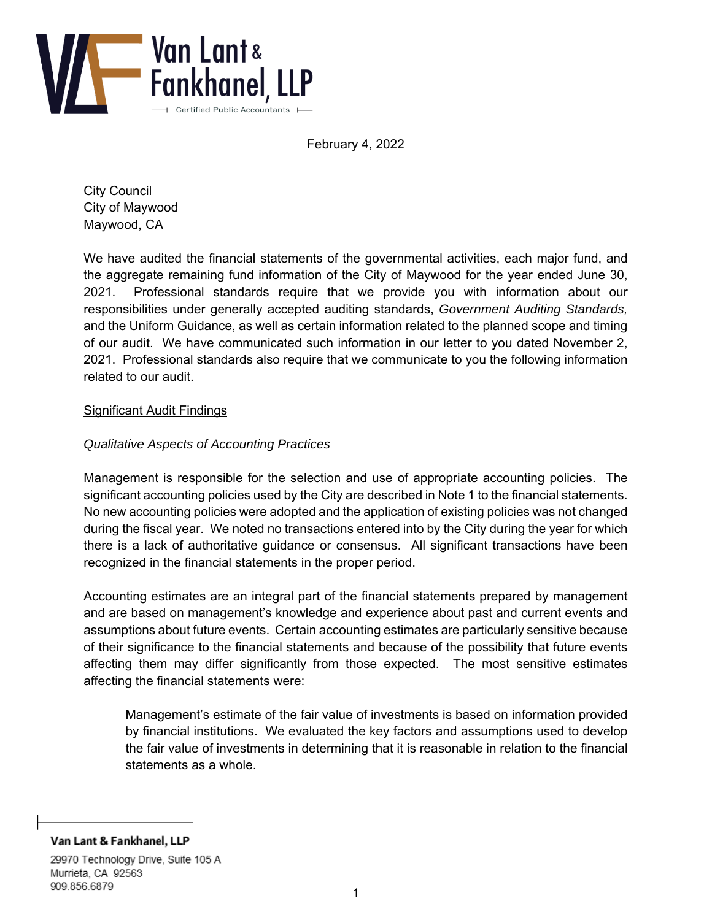

February 4, 2022

City Council City of Maywood Maywood, CA

We have audited the financial statements of the governmental activities, each major fund, and the aggregate remaining fund information of the City of Maywood for the year ended June 30, 2021. Professional standards require that we provide you with information about our responsibilities under generally accepted auditing standards, *Government Auditing Standards,*  and the Uniform Guidance, as well as certain information related to the planned scope and timing of our audit. We have communicated such information in our letter to you dated November 2, 2021. Professional standards also require that we communicate to you the following information related to our audit.

### Significant Audit Findings

# *Qualitative Aspects of Accounting Practices*

Management is responsible for the selection and use of appropriate accounting policies. The significant accounting policies used by the City are described in Note 1 to the financial statements. No new accounting policies were adopted and the application of existing policies was not changed during the fiscal year. We noted no transactions entered into by the City during the year for which there is a lack of authoritative guidance or consensus. All significant transactions have been recognized in the financial statements in the proper period.

Accounting estimates are an integral part of the financial statements prepared by management and are based on management's knowledge and experience about past and current events and assumptions about future events. Certain accounting estimates are particularly sensitive because of their significance to the financial statements and because of the possibility that future events affecting them may differ significantly from those expected. The most sensitive estimates affecting the financial statements were:

Management's estimate of the fair value of investments is based on information provided by financial institutions. We evaluated the key factors and assumptions used to develop the fair value of investments in determining that it is reasonable in relation to the financial statements as a whole.

Van Lant & Fankhanel, LLP

29970 Technology Drive, Suite 105 A Murrieta, CA 92563 909.856.6879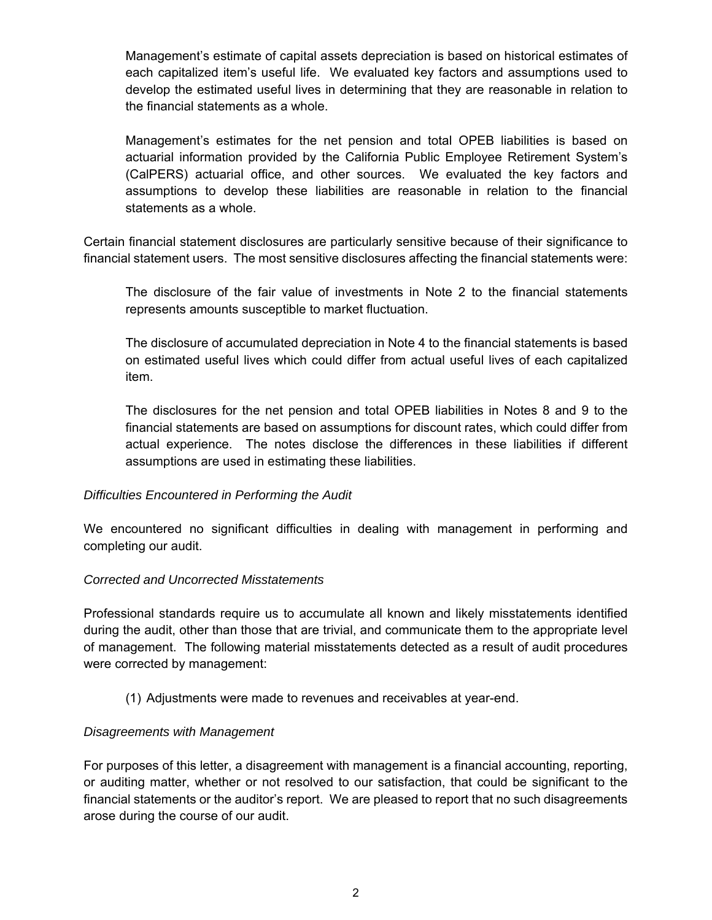Management's estimate of capital assets depreciation is based on historical estimates of each capitalized item's useful life. We evaluated key factors and assumptions used to develop the estimated useful lives in determining that they are reasonable in relation to the financial statements as a whole.

Management's estimates for the net pension and total OPEB liabilities is based on actuarial information provided by the California Public Employee Retirement System's (CalPERS) actuarial office, and other sources. We evaluated the key factors and assumptions to develop these liabilities are reasonable in relation to the financial statements as a whole.

Certain financial statement disclosures are particularly sensitive because of their significance to financial statement users. The most sensitive disclosures affecting the financial statements were:

The disclosure of the fair value of investments in Note 2 to the financial statements represents amounts susceptible to market fluctuation.

The disclosure of accumulated depreciation in Note 4 to the financial statements is based on estimated useful lives which could differ from actual useful lives of each capitalized item.

The disclosures for the net pension and total OPEB liabilities in Notes 8 and 9 to the financial statements are based on assumptions for discount rates, which could differ from actual experience. The notes disclose the differences in these liabilities if different assumptions are used in estimating these liabilities.

# *Difficulties Encountered in Performing the Audit*

We encountered no significant difficulties in dealing with management in performing and completing our audit.

#### *Corrected and Uncorrected Misstatements*

Professional standards require us to accumulate all known and likely misstatements identified during the audit, other than those that are trivial, and communicate them to the appropriate level of management. The following material misstatements detected as a result of audit procedures were corrected by management:

(1) Adjustments were made to revenues and receivables at year-end.

#### *Disagreements with Management*

For purposes of this letter, a disagreement with management is a financial accounting, reporting, or auditing matter, whether or not resolved to our satisfaction, that could be significant to the financial statements or the auditor's report. We are pleased to report that no such disagreements arose during the course of our audit.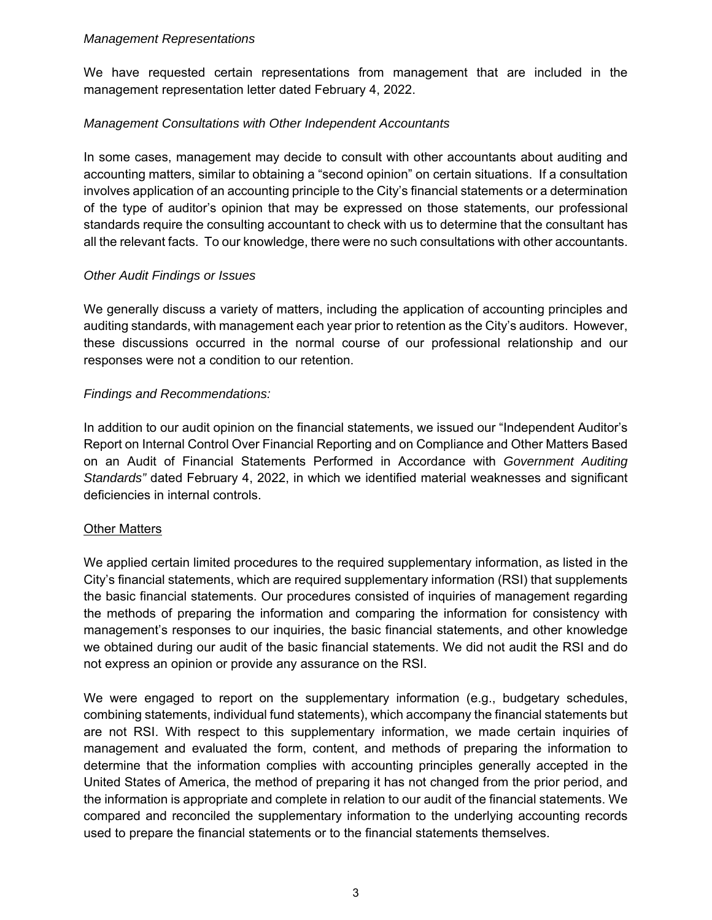#### *Management Representations*

We have requested certain representations from management that are included in the management representation letter dated February 4, 2022.

# *Management Consultations with Other Independent Accountants*

In some cases, management may decide to consult with other accountants about auditing and accounting matters, similar to obtaining a "second opinion" on certain situations. If a consultation involves application of an accounting principle to the City's financial statements or a determination of the type of auditor's opinion that may be expressed on those statements, our professional standards require the consulting accountant to check with us to determine that the consultant has all the relevant facts. To our knowledge, there were no such consultations with other accountants.

# *Other Audit Findings or Issues*

We generally discuss a variety of matters, including the application of accounting principles and auditing standards, with management each year prior to retention as the City's auditors. However, these discussions occurred in the normal course of our professional relationship and our responses were not a condition to our retention.

# *Findings and Recommendations:*

In addition to our audit opinion on the financial statements, we issued our "Independent Auditor's Report on Internal Control Over Financial Reporting and on Compliance and Other Matters Based on an Audit of Financial Statements Performed in Accordance with *Government Auditing Standards"* dated February 4, 2022, in which we identified material weaknesses and significant deficiencies in internal controls.

# **Other Matters**

We applied certain limited procedures to the required supplementary information, as listed in the City's financial statements, which are required supplementary information (RSI) that supplements the basic financial statements. Our procedures consisted of inquiries of management regarding the methods of preparing the information and comparing the information for consistency with management's responses to our inquiries, the basic financial statements, and other knowledge we obtained during our audit of the basic financial statements. We did not audit the RSI and do not express an opinion or provide any assurance on the RSI.

We were engaged to report on the supplementary information (e.g., budgetary schedules, combining statements, individual fund statements), which accompany the financial statements but are not RSI. With respect to this supplementary information, we made certain inquiries of management and evaluated the form, content, and methods of preparing the information to determine that the information complies with accounting principles generally accepted in the United States of America, the method of preparing it has not changed from the prior period, and the information is appropriate and complete in relation to our audit of the financial statements. We compared and reconciled the supplementary information to the underlying accounting records used to prepare the financial statements or to the financial statements themselves.